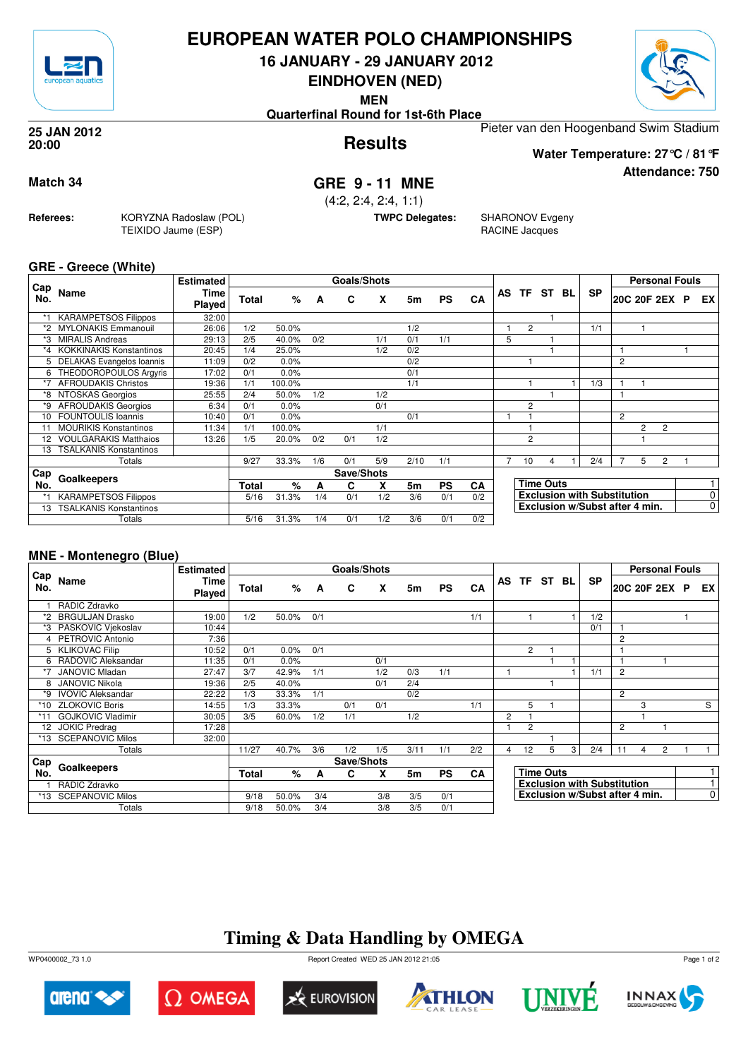

## **EUROPEAN WATER POLO CHAMPIONSHIPS**

**16 JANUARY - 29 JANUARY 2012**

**EINDHOVEN (NED)**

**MEN**

**Quarterfinal Round for 1st-6th Place**

Pieter van den Hoogenband Swim Stadium

### **Results 25 JAN 2012 20:00**

**Attendance: 750 Water Temperature: 27°C / 81°F**

**Match 34 GRE 9 - 11 MNE** (4:2, 2:4, 2:4, 1:1)

**TWPC Delegates:** SHARONOV Evgeny RACINE Jacques

### **GRE - Greece (White)**

**Referees:** KORYZNA Radoslaw (POL)

TEIXIDO Jaume (ESP)

| Cap |                                | <b>Estimated</b> |              |        |     | <b>Goals/Shots</b> |     |      |           |     |    |                |                  |    |                                    |   | <b>Personal Fouls</b> |                |   |                |
|-----|--------------------------------|------------------|--------------|--------|-----|--------------------|-----|------|-----------|-----|----|----------------|------------------|----|------------------------------------|---|-----------------------|----------------|---|----------------|
| No. | Name                           | Time<br>Played   | <b>Total</b> | %      | A   | C                  | x   | 5m   | <b>PS</b> | CA  | AS | TF             | ST               | BL | <b>SP</b>                          |   | 20C 20F 2EX           |                | P | EX.            |
| *1  | <b>KARAMPETSOS Filippos</b>    | 32:00            |              |        |     |                    |     |      |           |     |    |                |                  |    |                                    |   |                       |                |   |                |
|     | <b>MYLONAKIS Emmanouil</b>     | 26:06            | 1/2          | 50.0%  |     |                    |     | 1/2  |           |     |    | $\overline{2}$ |                  |    | 1/1                                |   |                       |                |   |                |
|     | <b>MIRALIS Andreas</b>         | 29:13            | 2/5          | 40.0%  | 0/2 |                    | 1/1 | 0/1  | 1/1       |     | 5  |                |                  |    |                                    |   |                       |                |   |                |
| *4  | <b>KOKKINAKIS Konstantinos</b> | 20:45            | 1/4          | 25.0%  |     |                    | 1/2 | 0/2  |           |     |    |                |                  |    |                                    |   |                       |                |   |                |
| 5.  | DELAKAS Evangelos Ioannis      | 11:09            | 0/2          | 0.0%   |     |                    |     | 0/2  |           |     |    |                |                  |    |                                    | 2 |                       |                |   |                |
| 6   | THEODOROPOULOS Argyris         | 17:02            | 0/1          | 0.0%   |     |                    |     | 0/1  |           |     |    |                |                  |    |                                    |   |                       |                |   |                |
| *7  | <b>AFROUDAKIS Christos</b>     | 19:36            | 1/1          | 100.0% |     |                    |     | 1/1  |           |     |    |                |                  |    | 1/3                                |   |                       |                |   |                |
| *8  | NTOSKAS Georgios               | 25:55            | 2/4          | 50.0%  | 1/2 |                    | 1/2 |      |           |     |    |                |                  |    |                                    |   |                       |                |   |                |
| *9  | <b>AFROUDAKIS Georgios</b>     | 6:34             | 0/1          | 0.0%   |     |                    | 0/1 |      |           |     |    | $\overline{2}$ |                  |    |                                    |   |                       |                |   |                |
| 10  | <b>FOUNTOULIS Ioannis</b>      | 10:40            | 0/1          | 0.0%   |     |                    |     | 0/1  |           |     |    |                |                  |    |                                    | 2 |                       |                |   |                |
| 11  | <b>MOURIKIS Konstantinos</b>   | 11:34            | 1/1          | 100.0% |     |                    | 1/1 |      |           |     |    |                |                  |    |                                    |   | 2                     | $\overline{2}$ |   |                |
| 12  | <b>VOULGARAKIS Matthaios</b>   | 13:26            | 1/5          | 20.0%  | 0/2 | 0/1                | 1/2 |      |           |     |    | $\overline{2}$ |                  |    |                                    |   |                       |                |   |                |
| 13  | <b>TSALKANIS Konstantinos</b>  |                  |              |        |     |                    |     |      |           |     |    |                |                  |    |                                    |   |                       |                |   |                |
|     | Totals                         |                  | 9/27         | 33.3%  | 1/6 | 0/1                | 5/9 | 2/10 | 1/1       |     |    | 10             |                  |    | 2/4                                |   | 5                     | 2              |   |                |
| Cap |                                |                  |              |        |     | Save/Shots         |     |      |           |     |    |                |                  |    |                                    |   |                       |                |   |                |
| No. | Goalkeepers                    |                  | Total        | %      | А   | C                  | x   | 5m   | <b>PS</b> | CA  |    |                | <b>Time Outs</b> |    |                                    |   |                       |                |   |                |
|     | <b>KARAMPETSOS Filippos</b>    |                  | 5/16         | 31.3%  | 1/4 | 0/1                | 1/2 | 3/6  | 0/1       | 0/2 |    |                |                  |    | <b>Exclusion with Substitution</b> |   |                       |                |   | 0              |
| 13  | <b>TSALKANIS Konstantinos</b>  |                  |              |        |     |                    |     |      |           |     |    |                |                  |    | Exclusion w/Subst after 4 min.     |   |                       |                |   | 0 <sup>1</sup> |
|     | Totals                         |                  | 5/16         | 31.3%  | 1/4 | 0/1                | 1/2 | 3/6  | 0/1       | 0/2 |    |                |                  |    |                                    |   |                       |                |   |                |

## **MNE - Montenegro (Blue)**

|            |                          | <b>Estimated</b>      |              |       |     | Goals/Shots |     |      |           |     |   |                |                  |    |                                    |                | <b>Personal Fouls</b> |                |                |
|------------|--------------------------|-----------------------|--------------|-------|-----|-------------|-----|------|-----------|-----|---|----------------|------------------|----|------------------------------------|----------------|-----------------------|----------------|----------------|
| Cap<br>No. | Name                     | <b>Time</b><br>Played | <b>Total</b> | %     | A   | C           | X   | 5m   | <b>PS</b> | CA  |   |                | AS TF ST         | BL | <b>SP</b>                          |                | 20C 20F 2EX P         |                | EX I           |
|            | RADIC Zdravko            |                       |              |       |     |             |     |      |           |     |   |                |                  |    |                                    |                |                       |                |                |
| *2         | <b>BRGULJAN Drasko</b>   | 19:00                 | 1/2          | 50.0% | 0/1 |             |     |      |           | 1/1 |   |                |                  |    | 1/2                                |                |                       |                |                |
| *3         | PASKOVIC Vjekoslav       | 10:44                 |              |       |     |             |     |      |           |     |   |                |                  |    | 0/1                                |                |                       |                |                |
|            | 4 PETROVIC Antonio       | 7:36                  |              |       |     |             |     |      |           |     |   |                |                  |    |                                    | $\overline{2}$ |                       |                |                |
| 5          | <b>KLIKOVAC Filip</b>    | 10:52                 | 0/1          | 0.0%  | 0/1 |             |     |      |           |     |   | $\overline{2}$ |                  |    |                                    |                |                       |                |                |
| 6          | RADOVIC Aleksandar       | 11:35                 | 0/1          | 0.0%  |     |             | 0/1 |      |           |     |   |                |                  |    |                                    |                |                       |                |                |
|            | <b>JANOVIC Mladan</b>    | 27:47                 | 3/7          | 42.9% | 1/1 |             | 1/2 | 0/3  | 1/1       |     |   |                |                  |    | 1/1                                | $\overline{2}$ |                       |                |                |
|            | <b>JANOVIC Nikola</b>    | 19:36                 | 2/5          | 40.0% |     |             | 0/1 | 2/4  |           |     |   |                |                  |    |                                    |                |                       |                |                |
| *9         | <b>IVOVIC Aleksandar</b> | 22:22                 | 1/3          | 33.3% | 1/1 |             |     | 0/2  |           |     |   |                |                  |    |                                    | $\overline{2}$ |                       |                |                |
| *10        | <b>ZLOKOVIC Boris</b>    | 14:55                 | 1/3          | 33.3% |     | 0/1         | 0/1 |      |           | 1/1 |   | 5              |                  |    |                                    |                | 3                     |                | S              |
| *11        | <b>GOJKOVIC Vladimir</b> | 30:05                 | 3/5          | 60.0% | 1/2 | 1/1         |     | 1/2  |           |     | 2 |                |                  |    |                                    |                |                       |                |                |
| 12         | <b>JOKIC Predrag</b>     | 17:28                 |              |       |     |             |     |      |           |     |   | $\overline{2}$ |                  |    |                                    | $\overline{2}$ |                       |                |                |
| *13        | <b>SCEPANOVIC Milos</b>  | 32:00                 |              |       |     |             |     |      |           |     |   |                |                  |    |                                    |                |                       |                |                |
|            | Totals                   |                       | 11/27        | 40.7% | 3/6 | 1/2         | 1/5 | 3/11 | 1/1       | 2/2 | 4 | 12             | 5                | 3  | 2/4                                | 11             | 4                     | $\overline{2}$ |                |
| Cap        |                          |                       |              |       |     | Save/Shots  |     |      |           |     |   |                |                  |    |                                    |                |                       |                |                |
| No.        | Goalkeepers              |                       | <b>Total</b> | %     | A   | C           | X   | 5m   | <b>PS</b> | CA  |   |                | <b>Time Outs</b> |    |                                    |                |                       |                |                |
|            | RADIC Zdravko            |                       |              |       |     |             |     |      |           |     |   |                |                  |    | <b>Exclusion with Substitution</b> |                |                       |                |                |
|            | *13 SCEPANOVIC Milos     |                       | 9/18         | 50.0% | 3/4 |             | 3/8 | 3/5  | 0/1       |     |   |                |                  |    | Exclusion w/Subst after 4 min.     |                |                       |                | $\overline{0}$ |
|            | Totals                   |                       | 9/18         | 50.0% | 3/4 |             | 3/8 | 3/5  | 0/1       |     |   |                |                  |    |                                    |                |                       |                |                |

## **Timing & Data Handling by OMEGA**

WP0400002\_73 1.0 Report Created WED 25 JAN 2012 21:05













Page 1 of 2